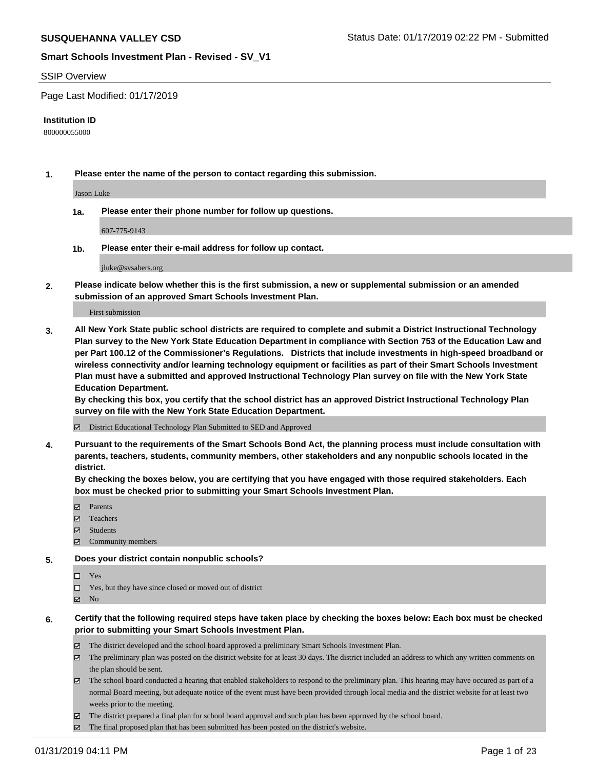#### SSIP Overview

Page Last Modified: 01/17/2019

#### **Institution ID**

800000055000

**1. Please enter the name of the person to contact regarding this submission.**

Jason Luke

**1a. Please enter their phone number for follow up questions.**

607-775-9143

**1b. Please enter their e-mail address for follow up contact.**

jluke@svsabers.org

**2. Please indicate below whether this is the first submission, a new or supplemental submission or an amended submission of an approved Smart Schools Investment Plan.**

First submission

**3. All New York State public school districts are required to complete and submit a District Instructional Technology Plan survey to the New York State Education Department in compliance with Section 753 of the Education Law and per Part 100.12 of the Commissioner's Regulations. Districts that include investments in high-speed broadband or wireless connectivity and/or learning technology equipment or facilities as part of their Smart Schools Investment Plan must have a submitted and approved Instructional Technology Plan survey on file with the New York State Education Department.** 

**By checking this box, you certify that the school district has an approved District Instructional Technology Plan survey on file with the New York State Education Department.**

District Educational Technology Plan Submitted to SED and Approved

**4. Pursuant to the requirements of the Smart Schools Bond Act, the planning process must include consultation with parents, teachers, students, community members, other stakeholders and any nonpublic schools located in the district.** 

**By checking the boxes below, you are certifying that you have engaged with those required stakeholders. Each box must be checked prior to submitting your Smart Schools Investment Plan.**

- **□** Parents
- Teachers
- Students
- **Z** Community members
- **5. Does your district contain nonpublic schools?**
	- Yes
	- $\Box$  Yes, but they have since closed or moved out of district

- **6. Certify that the following required steps have taken place by checking the boxes below: Each box must be checked prior to submitting your Smart Schools Investment Plan.**
	- The district developed and the school board approved a preliminary Smart Schools Investment Plan.
	- The preliminary plan was posted on the district website for at least 30 days. The district included an address to which any written comments on the plan should be sent.
	- The school board conducted a hearing that enabled stakeholders to respond to the preliminary plan. This hearing may have occured as part of a normal Board meeting, but adequate notice of the event must have been provided through local media and the district website for at least two weeks prior to the meeting.
	- The district prepared a final plan for school board approval and such plan has been approved by the school board.
	- The final proposed plan that has been submitted has been posted on the district's website.

 $\boxtimes$  No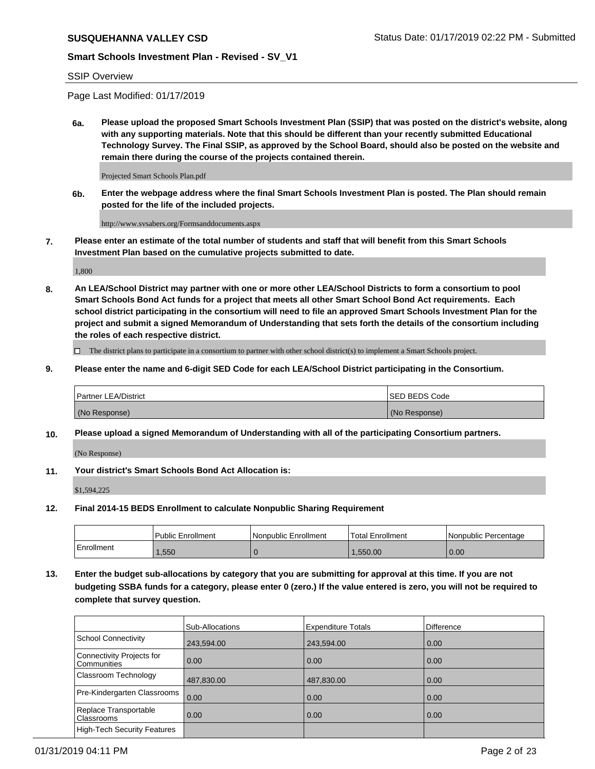### SSIP Overview

Page Last Modified: 01/17/2019

**6a. Please upload the proposed Smart Schools Investment Plan (SSIP) that was posted on the district's website, along with any supporting materials. Note that this should be different than your recently submitted Educational Technology Survey. The Final SSIP, as approved by the School Board, should also be posted on the website and remain there during the course of the projects contained therein.**

Projected Smart Schools Plan.pdf

**6b. Enter the webpage address where the final Smart Schools Investment Plan is posted. The Plan should remain posted for the life of the included projects.**

http://www.svsabers.org/Formsanddocuments.aspx

**7. Please enter an estimate of the total number of students and staff that will benefit from this Smart Schools Investment Plan based on the cumulative projects submitted to date.**

1,800

**8. An LEA/School District may partner with one or more other LEA/School Districts to form a consortium to pool Smart Schools Bond Act funds for a project that meets all other Smart School Bond Act requirements. Each school district participating in the consortium will need to file an approved Smart Schools Investment Plan for the project and submit a signed Memorandum of Understanding that sets forth the details of the consortium including the roles of each respective district.**

 $\Box$  The district plans to participate in a consortium to partner with other school district(s) to implement a Smart Schools project.

**9. Please enter the name and 6-digit SED Code for each LEA/School District participating in the Consortium.**

| <b>Partner LEA/District</b> | <b>ISED BEDS Code</b> |
|-----------------------------|-----------------------|
| (No Response)               | (No Response)         |

**10. Please upload a signed Memorandum of Understanding with all of the participating Consortium partners.**

(No Response)

**11. Your district's Smart Schools Bond Act Allocation is:**

\$1,594,225

**12. Final 2014-15 BEDS Enrollment to calculate Nonpublic Sharing Requirement**

|            | <b>Public Enrollment</b> | Nonpublic Enrollment | Total Enrollment | l Nonpublic Percentage |
|------------|--------------------------|----------------------|------------------|------------------------|
| Enrollment | .550                     |                      | .550.00          | 0.00                   |

**13. Enter the budget sub-allocations by category that you are submitting for approval at this time. If you are not budgeting SSBA funds for a category, please enter 0 (zero.) If the value entered is zero, you will not be required to complete that survey question.**

|                                            | Sub-Allocations | <b>Expenditure Totals</b> | Difference |
|--------------------------------------------|-----------------|---------------------------|------------|
| School Connectivity                        | 243,594.00      | 243,594.00                | 0.00       |
| Connectivity Projects for<br>l Communities | 0.00            | 0.00                      | 0.00       |
| Classroom Technology                       | 487,830.00      | 487,830.00                | 0.00       |
| Pre-Kindergarten Classrooms                | 0.00            | 0.00                      | 0.00       |
| Replace Transportable<br><b>Classrooms</b> | 0.00            | 0.00                      | 0.00       |
| High-Tech Security Features                |                 |                           |            |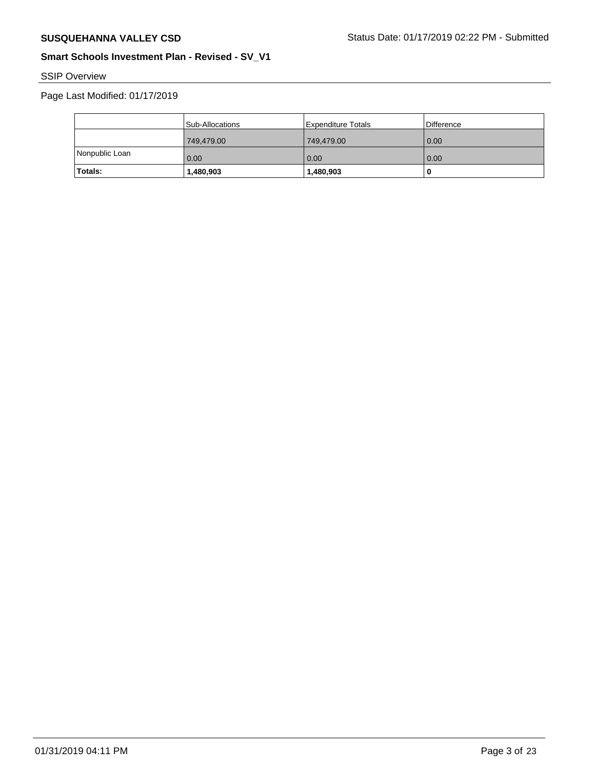# SSIP Overview

|                | Sub-Allocations | Expenditure Totals | Difference |
|----------------|-----------------|--------------------|------------|
|                | 749,479.00      | 749,479.00         | 10.00      |
| Nonpublic Loan | 0.00            | 0.00               | 0.00       |
| Totals:        | 1,480,903       | 1,480,903          | U          |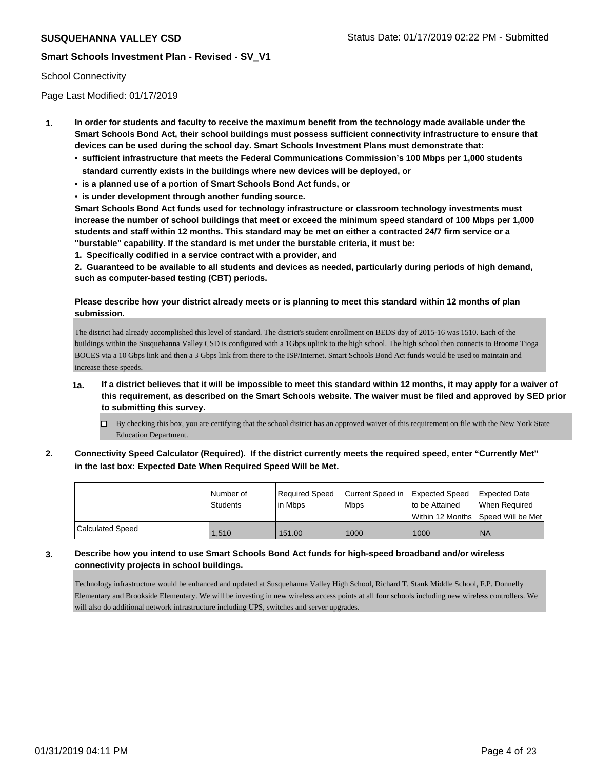### School Connectivity

Page Last Modified: 01/17/2019

- **1. In order for students and faculty to receive the maximum benefit from the technology made available under the Smart Schools Bond Act, their school buildings must possess sufficient connectivity infrastructure to ensure that devices can be used during the school day. Smart Schools Investment Plans must demonstrate that:**
	- **• sufficient infrastructure that meets the Federal Communications Commission's 100 Mbps per 1,000 students standard currently exists in the buildings where new devices will be deployed, or**
	- **• is a planned use of a portion of Smart Schools Bond Act funds, or**
	- **• is under development through another funding source.**

**Smart Schools Bond Act funds used for technology infrastructure or classroom technology investments must increase the number of school buildings that meet or exceed the minimum speed standard of 100 Mbps per 1,000 students and staff within 12 months. This standard may be met on either a contracted 24/7 firm service or a "burstable" capability. If the standard is met under the burstable criteria, it must be:**

**1. Specifically codified in a service contract with a provider, and**

**2. Guaranteed to be available to all students and devices as needed, particularly during periods of high demand, such as computer-based testing (CBT) periods.**

## **Please describe how your district already meets or is planning to meet this standard within 12 months of plan submission.**

The district had already accomplished this level of standard. The district's student enrollment on BEDS day of 2015-16 was 1510. Each of the buildings within the Susquehanna Valley CSD is configured with a 1Gbps uplink to the high school. The high school then connects to Broome Tioga BOCES via a 10 Gbps link and then a 3 Gbps link from there to the ISP/Internet. Smart Schools Bond Act funds would be used to maintain and increase these speeds.

- **1a. If a district believes that it will be impossible to meet this standard within 12 months, it may apply for a waiver of this requirement, as described on the Smart Schools website. The waiver must be filed and approved by SED prior to submitting this survey.**
	- $\Box$  By checking this box, you are certifying that the school district has an approved waiver of this requirement on file with the New York State Education Department.
- **2. Connectivity Speed Calculator (Required). If the district currently meets the required speed, enter "Currently Met" in the last box: Expected Date When Required Speed Will be Met.**

|                         | l Number of | Required Speed | Current Speed in Expected Speed |                | Expected Date                           |
|-------------------------|-------------|----------------|---------------------------------|----------------|-----------------------------------------|
|                         | Students    | lin Mbps       | Mbps                            | to be Attained | When Required                           |
|                         |             |                |                                 |                | l Within 12 Months ISpeed Will be Met l |
| <b>Calculated Speed</b> | 1,510       | 151.00         | 1000                            | 1000           | <b>NA</b>                               |

## **3. Describe how you intend to use Smart Schools Bond Act funds for high-speed broadband and/or wireless connectivity projects in school buildings.**

Technology infrastructure would be enhanced and updated at Susquehanna Valley High School, Richard T. Stank Middle School, F.P. Donnelly Elementary and Brookside Elementary. We will be investing in new wireless access points at all four schools including new wireless controllers. We will also do additional network infrastructure including UPS, switches and server upgrades.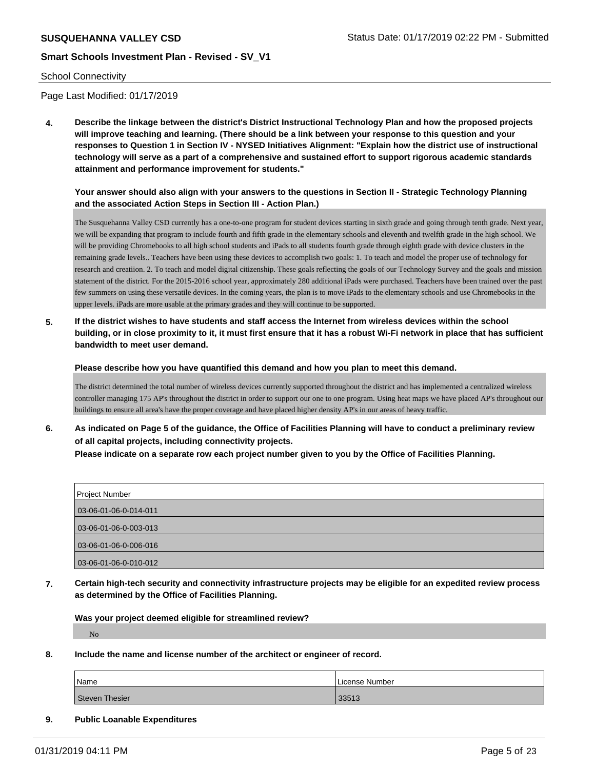#### School Connectivity

Page Last Modified: 01/17/2019

**4. Describe the linkage between the district's District Instructional Technology Plan and how the proposed projects will improve teaching and learning. (There should be a link between your response to this question and your responses to Question 1 in Section IV - NYSED Initiatives Alignment: "Explain how the district use of instructional technology will serve as a part of a comprehensive and sustained effort to support rigorous academic standards attainment and performance improvement for students."** 

### **Your answer should also align with your answers to the questions in Section II - Strategic Technology Planning and the associated Action Steps in Section III - Action Plan.)**

The Susquehanna Valley CSD currently has a one-to-one program for student devices starting in sixth grade and going through tenth grade. Next year, we will be expanding that program to include fourth and fifth grade in the elementary schools and eleventh and twelfth grade in the high school. We will be providing Chromebooks to all high school students and iPads to all students fourth grade through eighth grade with device clusters in the remaining grade levels.. Teachers have been using these devices to accomplish two goals: 1. To teach and model the proper use of technology for research and creatiion. 2. To teach and model digital citizenship. These goals reflecting the goals of our Technology Survey and the goals and mission statement of the district. For the 2015-2016 school year, approximately 280 additional iPads were purchased. Teachers have been trained over the past few summers on using these versatile devices. In the coming years, the plan is to move iPads to the elementary schools and use Chromebooks in the upper levels. iPads are more usable at the primary grades and they will continue to be supported.

**5. If the district wishes to have students and staff access the Internet from wireless devices within the school building, or in close proximity to it, it must first ensure that it has a robust Wi-Fi network in place that has sufficient bandwidth to meet user demand.**

**Please describe how you have quantified this demand and how you plan to meet this demand.**

The district determined the total number of wireless devices currently supported throughout the district and has implemented a centralized wireless controller managing 175 AP's throughout the district in order to support our one to one program. Using heat maps we have placed AP's throughout our buildings to ensure all area's have the proper coverage and have placed higher density AP's in our areas of heavy traffic.

**6. As indicated on Page 5 of the guidance, the Office of Facilities Planning will have to conduct a preliminary review of all capital projects, including connectivity projects. Please indicate on a separate row each project number given to you by the Office of Facilities Planning.**

| <b>Project Number</b>   |  |
|-------------------------|--|
| 03-06-01-06-0-014-011   |  |
| 03-06-01-06-0-003-013   |  |
|                         |  |
| $03-06-01-06-0-006-016$ |  |
| 03-06-01-06-0-010-012   |  |

**7. Certain high-tech security and connectivity infrastructure projects may be eligible for an expedited review process as determined by the Office of Facilities Planning.**

**Was your project deemed eligible for streamlined review?**

No

**8. Include the name and license number of the architect or engineer of record.**

| Name                  | License Number |
|-----------------------|----------------|
| <b>Steven Thesier</b> | 33513          |

#### **9. Public Loanable Expenditures**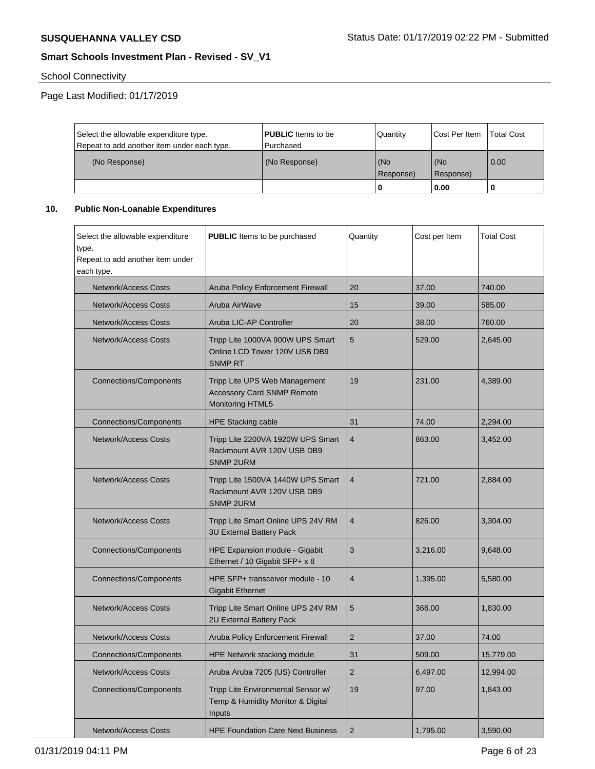# School Connectivity

Page Last Modified: 01/17/2019

| Select the allowable expenditure type.      | <b>PUBLIC</b> Items to be | l Quantitv       | Cost Per Item    | Total Cost |
|---------------------------------------------|---------------------------|------------------|------------------|------------|
| Repeat to add another item under each type. | l Purchased               |                  |                  |            |
| (No Response)                               | (No Response)             | (No<br>Response) | (No<br>Response) | 0.00       |
|                                             |                           |                  | 0.00             | -0         |

# **10. Public Non-Loanable Expenditures**

| Select the allowable expenditure<br>type.<br>Repeat to add another item under<br>each type. | <b>PUBLIC</b> Items to be purchased                                                    | Quantity       | Cost per Item | <b>Total Cost</b> |
|---------------------------------------------------------------------------------------------|----------------------------------------------------------------------------------------|----------------|---------------|-------------------|
| Network/Access Costs                                                                        | Aruba Policy Enforcement Firewall                                                      | 20             | 37.00         | 740.00            |
| <b>Network/Access Costs</b>                                                                 | Aruba AirWave                                                                          | 15             | 39.00         | 585.00            |
| <b>Network/Access Costs</b>                                                                 | Aruba LIC-AP Controller                                                                | 20             | 38.00         | 760.00            |
| <b>Network/Access Costs</b>                                                                 | Tripp Lite 1000VA 900W UPS Smart<br>Online LCD Tower 120V USB DB9<br><b>SNMP RT</b>    | 5              | 529.00        | 2,645.00          |
| <b>Connections/Components</b>                                                               | Tripp Lite UPS Web Management<br><b>Accessory Card SNMP Remote</b><br>Monitoring HTML5 | 19             | 231.00        | 4,389.00          |
| <b>Connections/Components</b>                                                               | <b>HPE Stacking cable</b>                                                              | 31             | 74.00         | 2,294.00          |
| <b>Network/Access Costs</b>                                                                 | Tripp Lite 2200VA 1920W UPS Smart<br>Rackmount AVR 120V USB DB9<br><b>SNMP 2URM</b>    | $\overline{4}$ | 863.00        | 3,452.00          |
| <b>Network/Access Costs</b>                                                                 | Tripp Lite 1500VA 1440W UPS Smart<br>Rackmount AVR 120V USB DB9<br><b>SNMP 2URM</b>    | $\overline{4}$ | 721.00        | 2,884.00          |
| <b>Network/Access Costs</b>                                                                 | Tripp Lite Smart Online UPS 24V RM<br><b>3U External Battery Pack</b>                  | $\overline{4}$ | 826.00        | 3,304.00          |
| <b>Connections/Components</b>                                                               | <b>HPE Expansion module - Gigabit</b><br>Ethernet / 10 Gigabit SFP+ x 8                | 3              | 3,216.00      | 9,648.00          |
| Connections/Components                                                                      | HPE SFP+ transceiver module - 10<br><b>Gigabit Ethernet</b>                            | $\overline{4}$ | 1,395.00      | 5,580.00          |
| <b>Network/Access Costs</b>                                                                 | Tripp Lite Smart Online UPS 24V RM<br>2U External Battery Pack                         | 5              | 366.00        | 1,830.00          |
| <b>Network/Access Costs</b>                                                                 | Aruba Policy Enforcement Firewall                                                      | $\overline{2}$ | 37.00         | 74.00             |
| <b>Connections/Components</b>                                                               | <b>HPE Network stacking module</b>                                                     | 31             | 509.00        | 15,779.00         |
| <b>Network/Access Costs</b>                                                                 | Aruba Aruba 7205 (US) Controller                                                       | $\overline{2}$ | 6,497.00      | 12,994.00         |
| <b>Connections/Components</b>                                                               | Tripp Lite Environmental Sensor w/<br>Temp & Humidity Monitor & Digital<br>Inputs      | 19             | 97.00         | 1,843.00          |
| <b>Network/Access Costs</b>                                                                 | <b>HPE Foundation Care Next Business</b>                                               | $\overline{2}$ | 1,795.00      | 3,590.00          |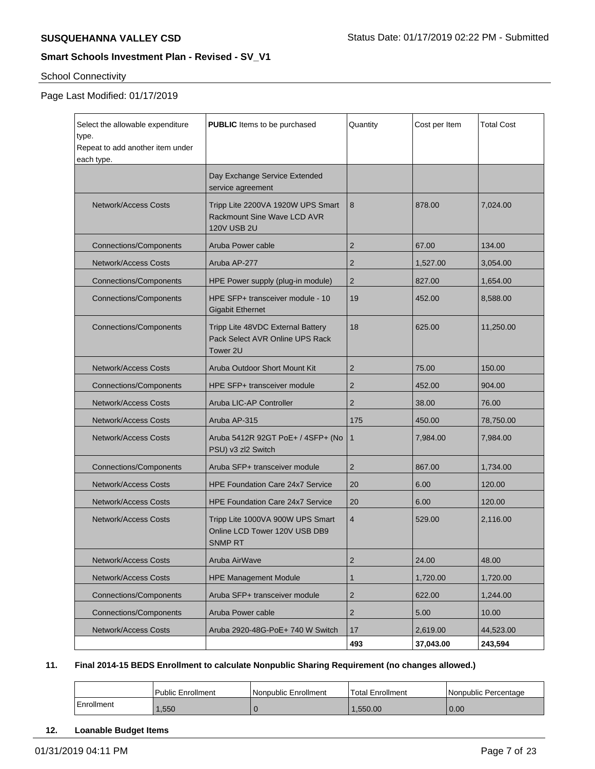# School Connectivity

# Page Last Modified: 01/17/2019

| Select the allowable expenditure<br>type.<br>Repeat to add another item under<br>each type. | <b>PUBLIC</b> Items to be purchased                                                                   | Quantity       | Cost per Item | <b>Total Cost</b> |
|---------------------------------------------------------------------------------------------|-------------------------------------------------------------------------------------------------------|----------------|---------------|-------------------|
|                                                                                             | Day Exchange Service Extended<br>service agreement                                                    |                |               |                   |
| Network/Access Costs                                                                        | Tripp Lite 2200VA 1920W UPS Smart<br><b>Rackmount Sine Wave LCD AVR</b><br><b>120V USB 2U</b>         | 8              | 878.00        | 7,024.00          |
| <b>Connections/Components</b>                                                               | Aruba Power cable                                                                                     | 2              | 67.00         | 134.00            |
| <b>Network/Access Costs</b>                                                                 | Aruba AP-277                                                                                          | 2              | 1,527.00      | 3,054.00          |
| Connections/Components                                                                      | HPE Power supply (plug-in module)                                                                     | $\overline{2}$ | 827.00        | 1,654.00          |
| <b>Connections/Components</b>                                                               | HPE SFP+ transceiver module - 10<br><b>Gigabit Ethernet</b>                                           | 19             | 452.00        | 8,588.00          |
| <b>Connections/Components</b>                                                               | 18<br>Tripp Lite 48VDC External Battery<br>Pack Select AVR Online UPS Rack<br>Tower 2U                |                | 625.00        | 11,250.00         |
| Network/Access Costs                                                                        | Aruba Outdoor Short Mount Kit                                                                         | 2              | 75.00         | 150.00            |
| Connections/Components                                                                      | HPE SFP+ transceiver module                                                                           | 2              | 452.00        | 904.00            |
| <b>Network/Access Costs</b>                                                                 | Aruba LIC-AP Controller                                                                               | 2              | 38.00         | 76.00             |
| <b>Network/Access Costs</b>                                                                 | Aruba AP-315                                                                                          | 175            | 450.00        | 78,750.00         |
| Network/Access Costs                                                                        | Aruba 5412R 92GT PoE+ / 4SFP+ (No<br>PSU) v3 zl2 Switch                                               | $\mathbf{1}$   | 7,984.00      | 7,984.00          |
| Connections/Components                                                                      | Aruba SFP+ transceiver module                                                                         | $\overline{2}$ | 867.00        | 1,734.00          |
| <b>Network/Access Costs</b>                                                                 | <b>HPE Foundation Care 24x7 Service</b>                                                               | 20             | 6.00          | 120.00            |
| <b>Network/Access Costs</b>                                                                 | <b>HPE Foundation Care 24x7 Service</b>                                                               | 20             | 6.00          | 120.00            |
| Network/Access Costs                                                                        | Tripp Lite 1000VA 900W UPS Smart<br>$\overline{4}$<br>Online LCD Tower 120V USB DB9<br><b>SNMP RT</b> |                | 529.00        | 2,116.00          |
| <b>Network/Access Costs</b>                                                                 | Aruba AirWave                                                                                         | $\overline{2}$ | 24.00         | 48.00             |
| <b>Network/Access Costs</b>                                                                 | <b>HPE Management Module</b>                                                                          | 1              | 1,720.00      | 1,720.00          |
| <b>Connections/Components</b>                                                               | Aruba SFP+ transceiver module                                                                         | $\overline{2}$ | 622.00        | 1,244.00          |
| <b>Connections/Components</b>                                                               | Aruba Power cable                                                                                     | $\overline{2}$ | 5.00          | 10.00             |
| <b>Network/Access Costs</b>                                                                 | Aruba 2920-48G-PoE+ 740 W Switch                                                                      | 17             | 2,619.00      | 44,523.00         |
|                                                                                             |                                                                                                       | 493            | 37,043.00     | 243,594           |

## **11. Final 2014-15 BEDS Enrollment to calculate Nonpublic Sharing Requirement (no changes allowed.)**

|            | Public Enrollment | l Nonpublic Enrollment | Total Enrollment | l Nonpublic Percentage |
|------------|-------------------|------------------------|------------------|------------------------|
| Enrollment | .,550             |                        | .550.00          | 0.00                   |

#### **12. Loanable Budget Items**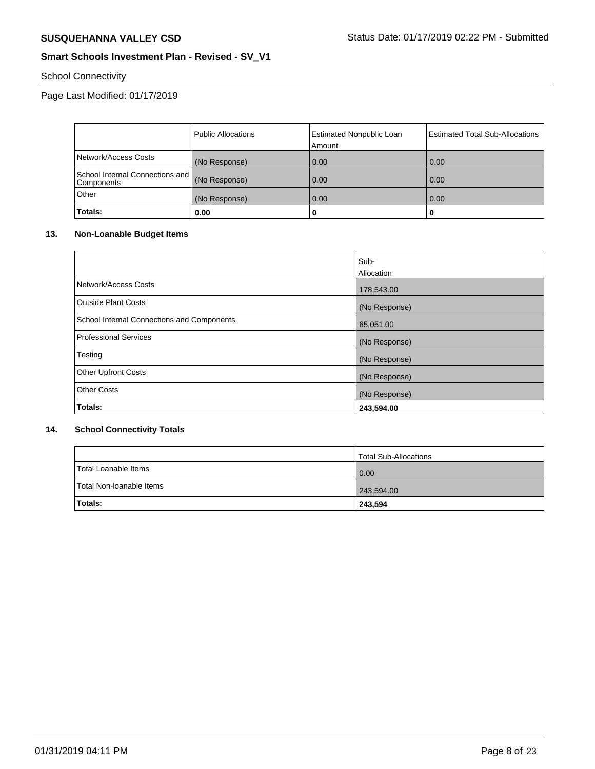# School Connectivity

# Page Last Modified: 01/17/2019

|                                                 | Public Allocations | <b>Estimated Nonpublic Loan</b><br>Amount | Estimated Total Sub-Allocations |
|-------------------------------------------------|--------------------|-------------------------------------------|---------------------------------|
| Network/Access Costs                            | (No Response)      | 0.00                                      | 0.00                            |
| School Internal Connections and  <br>Components | (No Response)      | 0.00                                      | 0.00                            |
| Other                                           | (No Response)      | 0.00                                      | 0.00                            |
| Totals:                                         | 0.00               | 0                                         |                                 |

### **13. Non-Loanable Budget Items**

|                                            | Sub-          |
|--------------------------------------------|---------------|
|                                            | Allocation    |
| Network/Access Costs                       | 178,543.00    |
| <b>Outside Plant Costs</b>                 | (No Response) |
| School Internal Connections and Components | 65,051.00     |
| <b>Professional Services</b>               | (No Response) |
| Testing                                    | (No Response) |
| <b>Other Upfront Costs</b>                 | (No Response) |
| <b>Other Costs</b>                         | (No Response) |
| Totals:                                    | 243,594.00    |

# **14. School Connectivity Totals**

|                          | Total Sub-Allocations |
|--------------------------|-----------------------|
| Total Loanable Items     | 0.00                  |
| Total Non-Ioanable Items | 243,594.00            |
| <b>Totals:</b>           | 243,594               |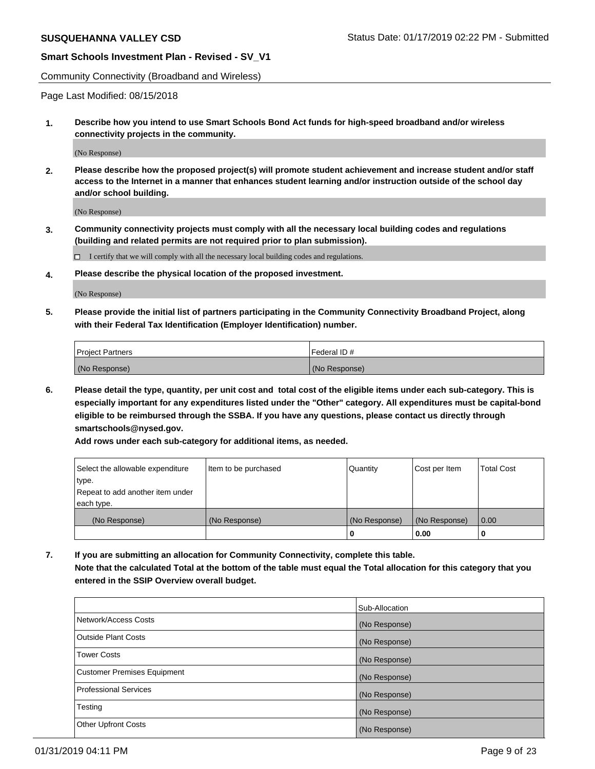Community Connectivity (Broadband and Wireless)

Page Last Modified: 08/15/2018

**1. Describe how you intend to use Smart Schools Bond Act funds for high-speed broadband and/or wireless connectivity projects in the community.**

(No Response)

**2. Please describe how the proposed project(s) will promote student achievement and increase student and/or staff access to the Internet in a manner that enhances student learning and/or instruction outside of the school day and/or school building.**

(No Response)

**3. Community connectivity projects must comply with all the necessary local building codes and regulations (building and related permits are not required prior to plan submission).**

 $\Box$  I certify that we will comply with all the necessary local building codes and regulations.

**4. Please describe the physical location of the proposed investment.**

(No Response)

**5. Please provide the initial list of partners participating in the Community Connectivity Broadband Project, along with their Federal Tax Identification (Employer Identification) number.**

| <b>Project Partners</b> | l Federal ID # |
|-------------------------|----------------|
| (No Response)           | (No Response)  |

**6. Please detail the type, quantity, per unit cost and total cost of the eligible items under each sub-category. This is especially important for any expenditures listed under the "Other" category. All expenditures must be capital-bond eligible to be reimbursed through the SSBA. If you have any questions, please contact us directly through smartschools@nysed.gov.**

**Add rows under each sub-category for additional items, as needed.**

| Select the allowable expenditure | Item to be purchased | Quantity      | Cost per Item | <b>Total Cost</b> |
|----------------------------------|----------------------|---------------|---------------|-------------------|
| type.                            |                      |               |               |                   |
| Repeat to add another item under |                      |               |               |                   |
| each type.                       |                      |               |               |                   |
| (No Response)                    | (No Response)        | (No Response) | (No Response) | 0.00              |
|                                  |                      | 0             | 0.00          |                   |

**7. If you are submitting an allocation for Community Connectivity, complete this table. Note that the calculated Total at the bottom of the table must equal the Total allocation for this category that you**

**entered in the SSIP Overview overall budget.**

|                                    | Sub-Allocation |
|------------------------------------|----------------|
| Network/Access Costs               | (No Response)  |
| <b>Outside Plant Costs</b>         | (No Response)  |
| <b>Tower Costs</b>                 | (No Response)  |
| <b>Customer Premises Equipment</b> | (No Response)  |
| <b>Professional Services</b>       | (No Response)  |
| Testing                            | (No Response)  |
| <b>Other Upfront Costs</b>         | (No Response)  |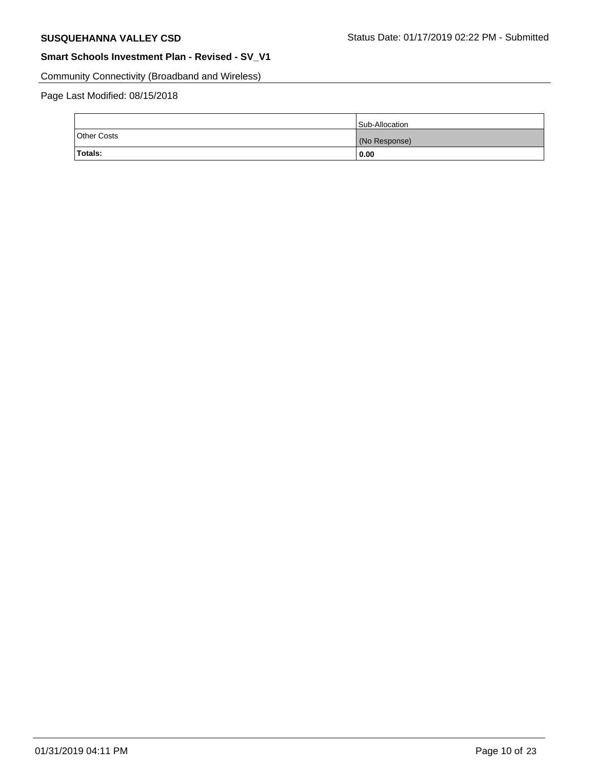Community Connectivity (Broadband and Wireless)

|             | Sub-Allocation |
|-------------|----------------|
| Other Costs | (No Response)  |
| Totals:     | 0.00           |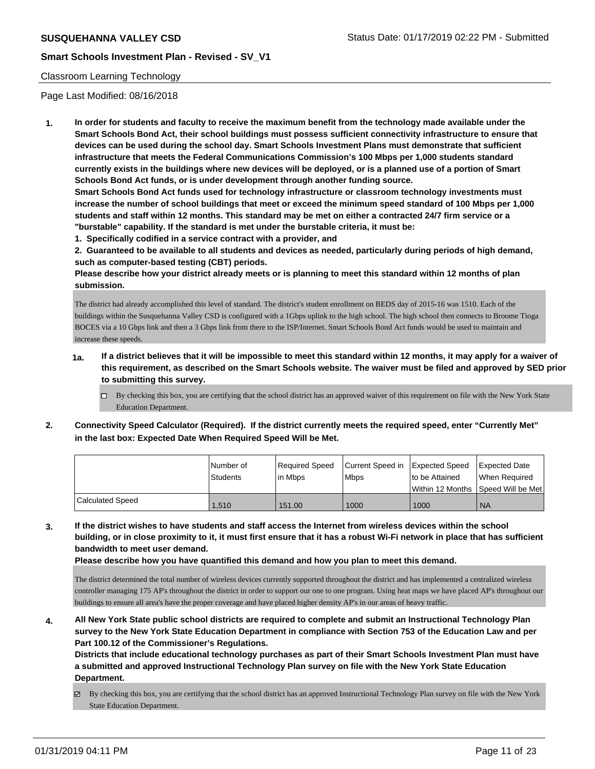### Classroom Learning Technology

Page Last Modified: 08/16/2018

**1. In order for students and faculty to receive the maximum benefit from the technology made available under the Smart Schools Bond Act, their school buildings must possess sufficient connectivity infrastructure to ensure that devices can be used during the school day. Smart Schools Investment Plans must demonstrate that sufficient infrastructure that meets the Federal Communications Commission's 100 Mbps per 1,000 students standard currently exists in the buildings where new devices will be deployed, or is a planned use of a portion of Smart Schools Bond Act funds, or is under development through another funding source.**

**Smart Schools Bond Act funds used for technology infrastructure or classroom technology investments must increase the number of school buildings that meet or exceed the minimum speed standard of 100 Mbps per 1,000 students and staff within 12 months. This standard may be met on either a contracted 24/7 firm service or a "burstable" capability. If the standard is met under the burstable criteria, it must be:**

**1. Specifically codified in a service contract with a provider, and**

**2. Guaranteed to be available to all students and devices as needed, particularly during periods of high demand, such as computer-based testing (CBT) periods.**

**Please describe how your district already meets or is planning to meet this standard within 12 months of plan submission.**

The district had already accomplished this level of standard. The district's student enrollment on BEDS day of 2015-16 was 1510. Each of the buildings within the Susquehanna Valley CSD is configured with a 1Gbps uplink to the high school. The high school then connects to Broome Tioga BOCES via a 10 Gbps link and then a 3 Gbps link from there to the ISP/Internet. Smart Schools Bond Act funds would be used to maintain and increase these speeds.

- **1a. If a district believes that it will be impossible to meet this standard within 12 months, it may apply for a waiver of this requirement, as described on the Smart Schools website. The waiver must be filed and approved by SED prior to submitting this survey.**
	- By checking this box, you are certifying that the school district has an approved waiver of this requirement on file with the New York State Education Department.
- **2. Connectivity Speed Calculator (Required). If the district currently meets the required speed, enter "Currently Met" in the last box: Expected Date When Required Speed Will be Met.**

|                  | Number of<br><b>Students</b> | Required Speed<br>l in Mbps | Current Speed in<br>Mbps | Expected Speed<br>I to be Attained | <b>Expected Date</b><br>l When Reauired<br>Within 12 Months ISpeed Will be Met |
|------------------|------------------------------|-----------------------------|--------------------------|------------------------------------|--------------------------------------------------------------------------------|
| Calculated Speed | 1.510                        | 151.00                      | 1000                     | 1000                               | <b>NA</b>                                                                      |

**3. If the district wishes to have students and staff access the Internet from wireless devices within the school building, or in close proximity to it, it must first ensure that it has a robust Wi-Fi network in place that has sufficient bandwidth to meet user demand.**

**Please describe how you have quantified this demand and how you plan to meet this demand.**

The district determined the total number of wireless devices currently supported throughout the district and has implemented a centralized wireless controller managing 175 AP's throughout the district in order to support our one to one program. Using heat maps we have placed AP's throughout our buildings to ensure all area's have the proper coverage and have placed higher density AP's in our areas of heavy traffic.

**4. All New York State public school districts are required to complete and submit an Instructional Technology Plan survey to the New York State Education Department in compliance with Section 753 of the Education Law and per Part 100.12 of the Commissioner's Regulations.**

**Districts that include educational technology purchases as part of their Smart Schools Investment Plan must have a submitted and approved Instructional Technology Plan survey on file with the New York State Education Department.**

By checking this box, you are certifying that the school district has an approved Instructional Technology Plan survey on file with the New York State Education Department.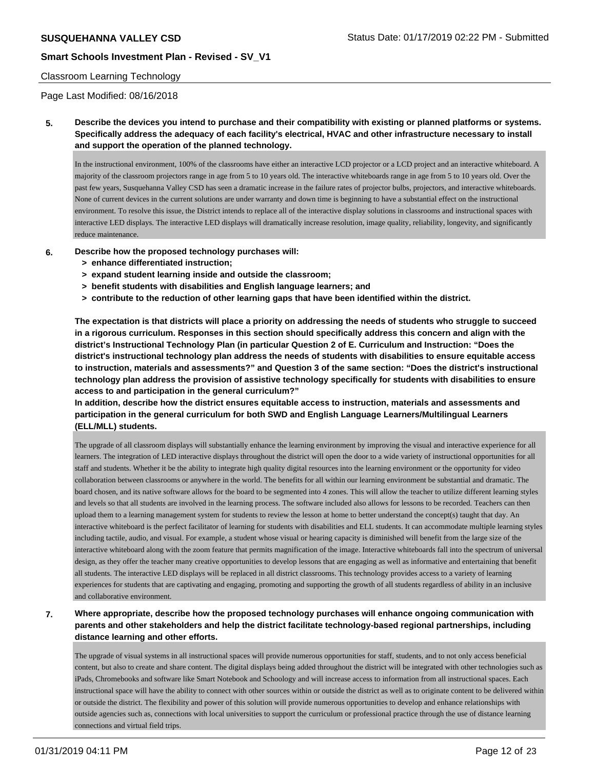## Classroom Learning Technology

Page Last Modified: 08/16/2018

**5. Describe the devices you intend to purchase and their compatibility with existing or planned platforms or systems. Specifically address the adequacy of each facility's electrical, HVAC and other infrastructure necessary to install and support the operation of the planned technology.**

In the instructional environment, 100% of the classrooms have either an interactive LCD projector or a LCD project and an interactive whiteboard. A majority of the classroom projectors range in age from 5 to 10 years old. The interactive whiteboards range in age from 5 to 10 years old. Over the past few years, Susquehanna Valley CSD has seen a dramatic increase in the failure rates of projector bulbs, projectors, and interactive whiteboards. None of current devices in the current solutions are under warranty and down time is beginning to have a substantial effect on the instructional environment. To resolve this issue, the District intends to replace all of the interactive display solutions in classrooms and instructional spaces with interactive LED displays. The interactive LED displays will dramatically increase resolution, image quality, reliability, longevity, and significantly reduce maintenance.

- **6. Describe how the proposed technology purchases will:**
	- **> enhance differentiated instruction;**
	- **> expand student learning inside and outside the classroom;**
	- **> benefit students with disabilities and English language learners; and**
	- **> contribute to the reduction of other learning gaps that have been identified within the district.**

**The expectation is that districts will place a priority on addressing the needs of students who struggle to succeed in a rigorous curriculum. Responses in this section should specifically address this concern and align with the district's Instructional Technology Plan (in particular Question 2 of E. Curriculum and Instruction: "Does the district's instructional technology plan address the needs of students with disabilities to ensure equitable access to instruction, materials and assessments?" and Question 3 of the same section: "Does the district's instructional technology plan address the provision of assistive technology specifically for students with disabilities to ensure access to and participation in the general curriculum?"**

**In addition, describe how the district ensures equitable access to instruction, materials and assessments and participation in the general curriculum for both SWD and English Language Learners/Multilingual Learners (ELL/MLL) students.**

The upgrade of all classroom displays will substantially enhance the learning environment by improving the visual and interactive experience for all learners. The integration of LED interactive displays throughout the district will open the door to a wide variety of instructional opportunities for all staff and students. Whether it be the ability to integrate high quality digital resources into the learning environment or the opportunity for video collaboration between classrooms or anywhere in the world. The benefits for all within our learning environment be substantial and dramatic. The board chosen, and its native software allows for the board to be segmented into 4 zones. This will allow the teacher to utilize different learning styles and levels so that all students are involved in the learning process. The software included also allows for lessons to be recorded. Teachers can then upload them to a learning management system for students to review the lesson at home to better understand the concept(s) taught that day. An interactive whiteboard is the perfect facilitator of learning for students with disabilities and ELL students. It can accommodate multiple learning styles including tactile, audio, and visual. For example, a student whose visual or hearing capacity is diminished will benefit from the large size of the interactive whiteboard along with the zoom feature that permits magnification of the image. Interactive whiteboards fall into the spectrum of universal design, as they offer the teacher many creative opportunities to develop lessons that are engaging as well as informative and entertaining that benefit all students. The interactive LED displays will be replaced in all district classrooms. This technology provides access to a variety of learning experiences for students that are captivating and engaging, promoting and supporting the growth of all students regardless of ability in an inclusive and collaborative environment.

**7. Where appropriate, describe how the proposed technology purchases will enhance ongoing communication with parents and other stakeholders and help the district facilitate technology-based regional partnerships, including distance learning and other efforts.**

The upgrade of visual systems in all instructional spaces will provide numerous opportunities for staff, students, and to not only access beneficial content, but also to create and share content. The digital displays being added throughout the district will be integrated with other technologies such as iPads, Chromebooks and software like Smart Notebook and Schoology and will increase access to information from all instructional spaces. Each instructional space will have the ability to connect with other sources within or outside the district as well as to originate content to be delivered within or outside the district. The flexibility and power of this solution will provide numerous opportunities to develop and enhance relationships with outside agencies such as, connections with local universities to support the curriculum or professional practice through the use of distance learning connections and virtual field trips.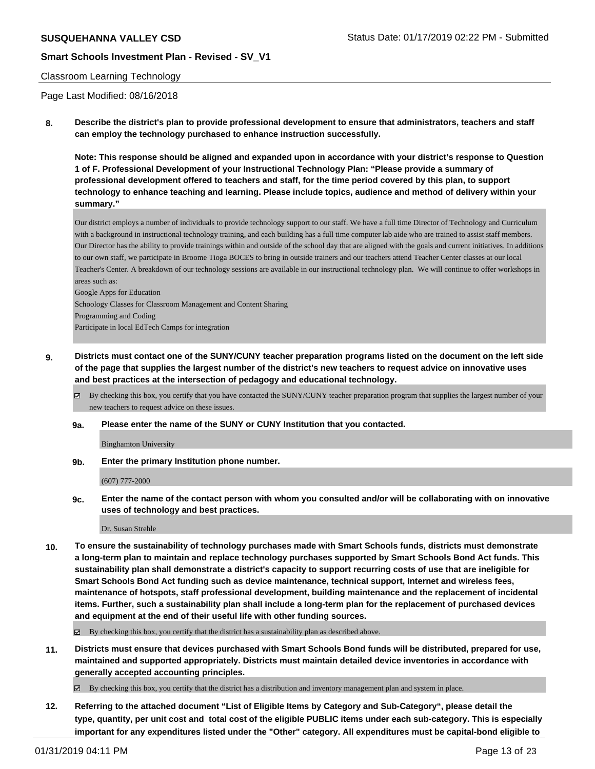#### Classroom Learning Technology

Page Last Modified: 08/16/2018

**8. Describe the district's plan to provide professional development to ensure that administrators, teachers and staff can employ the technology purchased to enhance instruction successfully.**

**Note: This response should be aligned and expanded upon in accordance with your district's response to Question 1 of F. Professional Development of your Instructional Technology Plan: "Please provide a summary of professional development offered to teachers and staff, for the time period covered by this plan, to support technology to enhance teaching and learning. Please include topics, audience and method of delivery within your summary."**

Our district employs a number of individuals to provide technology support to our staff. We have a full time Director of Technology and Curriculum with a background in instructional technology training, and each building has a full time computer lab aide who are trained to assist staff members. Our Director has the ability to provide trainings within and outside of the school day that are aligned with the goals and current initiatives. In additions to our own staff, we participate in Broome Tioga BOCES to bring in outside trainers and our teachers attend Teacher Center classes at our local Teacher's Center. A breakdown of our technology sessions are available in our instructional technology plan. We will continue to offer workshops in areas such as:

Google Apps for Education Schoology Classes for Classroom Management and Content Sharing

Programming and Coding

Participate in local EdTech Camps for integration

**9. Districts must contact one of the SUNY/CUNY teacher preparation programs listed on the document on the left side of the page that supplies the largest number of the district's new teachers to request advice on innovative uses and best practices at the intersection of pedagogy and educational technology.**

By checking this box, you certify that you have contacted the SUNY/CUNY teacher preparation program that supplies the largest number of your new teachers to request advice on these issues.

#### **9a. Please enter the name of the SUNY or CUNY Institution that you contacted.**

Binghamton University

**9b. Enter the primary Institution phone number.**

(607) 777-2000

**9c. Enter the name of the contact person with whom you consulted and/or will be collaborating with on innovative uses of technology and best practices.**

Dr. Susan Strehle

**10. To ensure the sustainability of technology purchases made with Smart Schools funds, districts must demonstrate a long-term plan to maintain and replace technology purchases supported by Smart Schools Bond Act funds. This sustainability plan shall demonstrate a district's capacity to support recurring costs of use that are ineligible for Smart Schools Bond Act funding such as device maintenance, technical support, Internet and wireless fees, maintenance of hotspots, staff professional development, building maintenance and the replacement of incidental items. Further, such a sustainability plan shall include a long-term plan for the replacement of purchased devices and equipment at the end of their useful life with other funding sources.**

 $\boxtimes$  By checking this box, you certify that the district has a sustainability plan as described above.

**11. Districts must ensure that devices purchased with Smart Schools Bond funds will be distributed, prepared for use, maintained and supported appropriately. Districts must maintain detailed device inventories in accordance with generally accepted accounting principles.**

By checking this box, you certify that the district has a distribution and inventory management plan and system in place.

**12. Referring to the attached document "List of Eligible Items by Category and Sub-Category", please detail the type, quantity, per unit cost and total cost of the eligible PUBLIC items under each sub-category. This is especially important for any expenditures listed under the "Other" category. All expenditures must be capital-bond eligible to**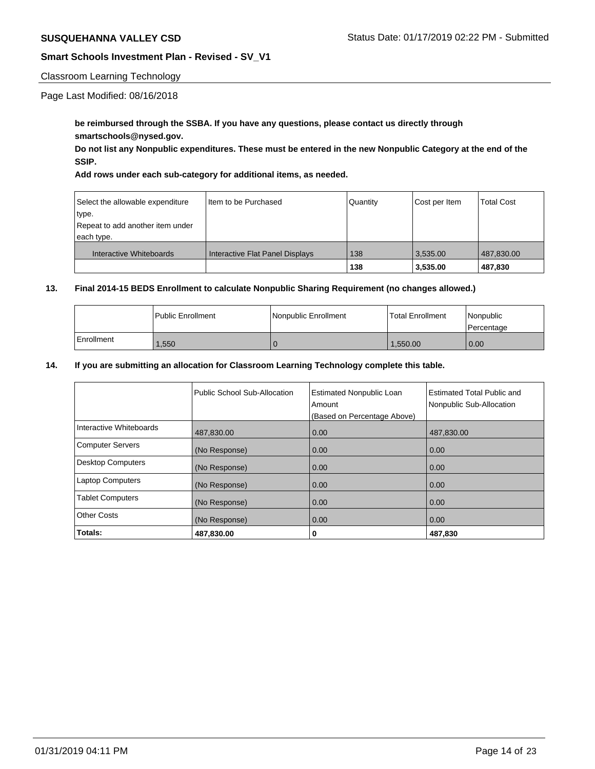### Classroom Learning Technology

Page Last Modified: 08/16/2018

## **be reimbursed through the SSBA. If you have any questions, please contact us directly through smartschools@nysed.gov.**

**Do not list any Nonpublic expenditures. These must be entered in the new Nonpublic Category at the end of the SSIP.** 

**Add rows under each sub-category for additional items, as needed.**

| Select the allowable expenditure | I Item to be Purchased          | Quantity | Cost per Item | <b>Total Cost</b> |
|----------------------------------|---------------------------------|----------|---------------|-------------------|
| type.                            |                                 |          |               |                   |
| Repeat to add another item under |                                 |          |               |                   |
| each type.                       |                                 |          |               |                   |
| Interactive Whiteboards          | Interactive Flat Panel Displays | 138      | 3.535.00      | 487,830.00        |
|                                  |                                 | 138      | 3,535.00      | 487,830           |

## **13. Final 2014-15 BEDS Enrollment to calculate Nonpublic Sharing Requirement (no changes allowed.)**

|            | l Public Enrollment | Nonpublic Enrollment | <b>Total Enrollment</b> | <i>Nonpublic</i><br>Percentage |
|------------|---------------------|----------------------|-------------------------|--------------------------------|
| Enrollment | .550                |                      | 1.550.00                | 0.00                           |

### **14. If you are submitting an allocation for Classroom Learning Technology complete this table.**

|                          | Public School Sub-Allocation | <b>Estimated Nonpublic Loan</b><br>Amount<br>(Based on Percentage Above) | <b>Estimated Total Public and</b><br>Nonpublic Sub-Allocation |
|--------------------------|------------------------------|--------------------------------------------------------------------------|---------------------------------------------------------------|
| Interactive Whiteboards  | 487,830.00                   | 0.00                                                                     | 487,830.00                                                    |
| <b>Computer Servers</b>  | (No Response)                | 0.00                                                                     | 0.00                                                          |
| <b>Desktop Computers</b> | (No Response)                | 0.00                                                                     | 0.00                                                          |
| <b>Laptop Computers</b>  | (No Response)                | 0.00                                                                     | 0.00                                                          |
| <b>Tablet Computers</b>  | (No Response)                | 0.00                                                                     | 0.00                                                          |
| <b>Other Costs</b>       | (No Response)                | 0.00                                                                     | 0.00                                                          |
| Totals:                  | 487,830.00                   | 0                                                                        | 487,830                                                       |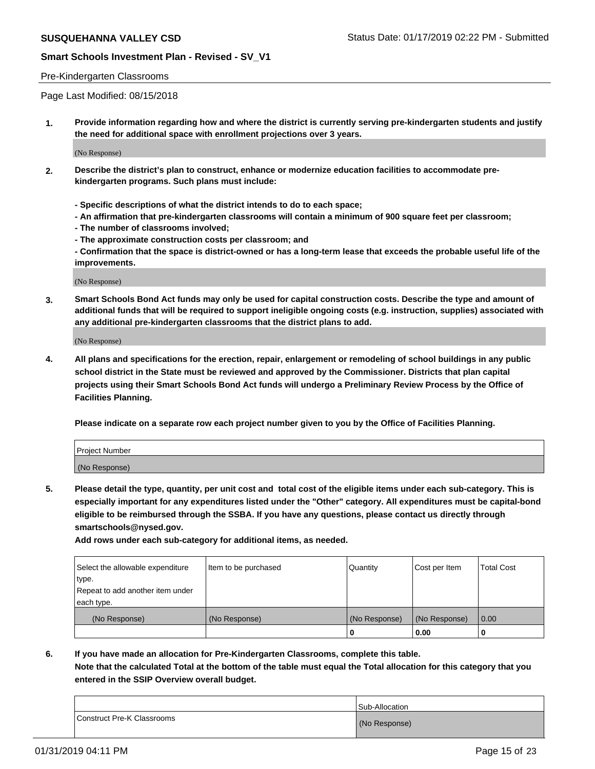#### Pre-Kindergarten Classrooms

Page Last Modified: 08/15/2018

**1. Provide information regarding how and where the district is currently serving pre-kindergarten students and justify the need for additional space with enrollment projections over 3 years.**

(No Response)

- **2. Describe the district's plan to construct, enhance or modernize education facilities to accommodate prekindergarten programs. Such plans must include:**
	- **Specific descriptions of what the district intends to do to each space;**
	- **An affirmation that pre-kindergarten classrooms will contain a minimum of 900 square feet per classroom;**
	- **The number of classrooms involved;**
	- **The approximate construction costs per classroom; and**
	- **Confirmation that the space is district-owned or has a long-term lease that exceeds the probable useful life of the improvements.**

(No Response)

**3. Smart Schools Bond Act funds may only be used for capital construction costs. Describe the type and amount of additional funds that will be required to support ineligible ongoing costs (e.g. instruction, supplies) associated with any additional pre-kindergarten classrooms that the district plans to add.**

(No Response)

**4. All plans and specifications for the erection, repair, enlargement or remodeling of school buildings in any public school district in the State must be reviewed and approved by the Commissioner. Districts that plan capital projects using their Smart Schools Bond Act funds will undergo a Preliminary Review Process by the Office of Facilities Planning.**

**Please indicate on a separate row each project number given to you by the Office of Facilities Planning.**

| Project Number |  |
|----------------|--|
| (No Response)  |  |

**5. Please detail the type, quantity, per unit cost and total cost of the eligible items under each sub-category. This is especially important for any expenditures listed under the "Other" category. All expenditures must be capital-bond eligible to be reimbursed through the SSBA. If you have any questions, please contact us directly through smartschools@nysed.gov.**

**Add rows under each sub-category for additional items, as needed.**

| Select the allowable expenditure | Item to be purchased | Quantity      | Cost per Item | <b>Total Cost</b> |
|----------------------------------|----------------------|---------------|---------------|-------------------|
| ∣type.                           |                      |               |               |                   |
| Repeat to add another item under |                      |               |               |                   |
| each type.                       |                      |               |               |                   |
| (No Response)                    | (No Response)        | (No Response) | (No Response) | 0.00              |
|                                  |                      | U             | 0.00          |                   |

**6. If you have made an allocation for Pre-Kindergarten Classrooms, complete this table. Note that the calculated Total at the bottom of the table must equal the Total allocation for this category that you entered in the SSIP Overview overall budget.**

|                            | Sub-Allocation |
|----------------------------|----------------|
| Construct Pre-K Classrooms | (No Response)  |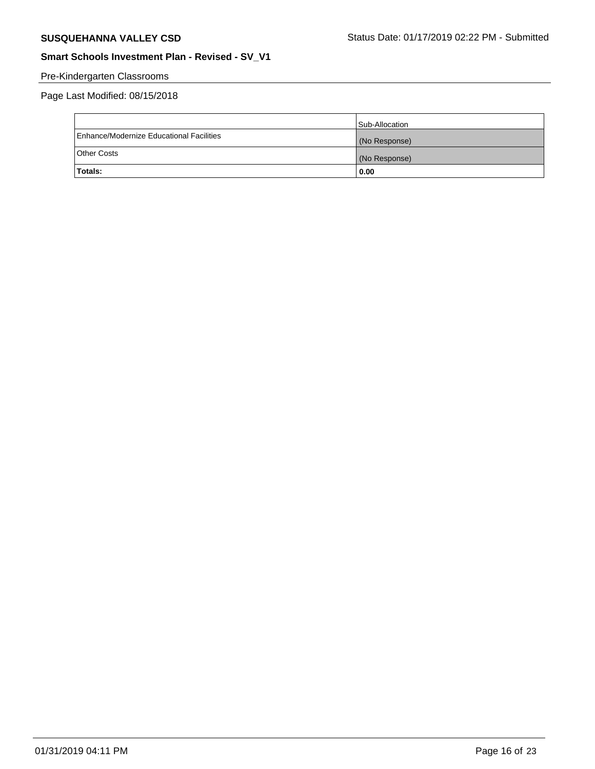# Pre-Kindergarten Classrooms

|                                          | Sub-Allocation |
|------------------------------------------|----------------|
| Enhance/Modernize Educational Facilities | (No Response)  |
| <b>Other Costs</b>                       | (No Response)  |
| <b>Totals:</b>                           | 0.00           |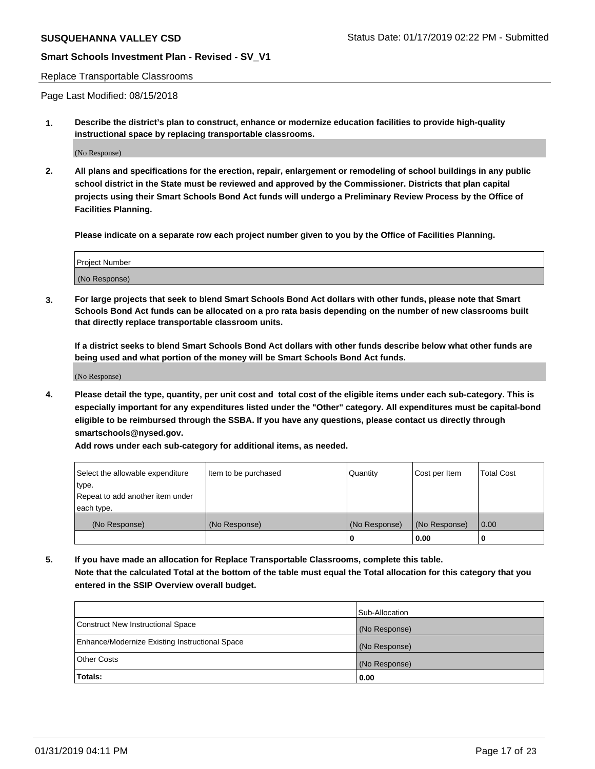#### Replace Transportable Classrooms

Page Last Modified: 08/15/2018

**1. Describe the district's plan to construct, enhance or modernize education facilities to provide high-quality instructional space by replacing transportable classrooms.**

(No Response)

**2. All plans and specifications for the erection, repair, enlargement or remodeling of school buildings in any public school district in the State must be reviewed and approved by the Commissioner. Districts that plan capital projects using their Smart Schools Bond Act funds will undergo a Preliminary Review Process by the Office of Facilities Planning.**

**Please indicate on a separate row each project number given to you by the Office of Facilities Planning.**

| Project Number |  |
|----------------|--|
| (No Response)  |  |

**3. For large projects that seek to blend Smart Schools Bond Act dollars with other funds, please note that Smart Schools Bond Act funds can be allocated on a pro rata basis depending on the number of new classrooms built that directly replace transportable classroom units.**

**If a district seeks to blend Smart Schools Bond Act dollars with other funds describe below what other funds are being used and what portion of the money will be Smart Schools Bond Act funds.**

(No Response)

**4. Please detail the type, quantity, per unit cost and total cost of the eligible items under each sub-category. This is especially important for any expenditures listed under the "Other" category. All expenditures must be capital-bond eligible to be reimbursed through the SSBA. If you have any questions, please contact us directly through smartschools@nysed.gov.**

**Add rows under each sub-category for additional items, as needed.**

| Select the allowable expenditure<br>type.      | Item to be purchased | Quantity      | Cost per Item | <b>Total Cost</b> |
|------------------------------------------------|----------------------|---------------|---------------|-------------------|
| Repeat to add another item under<br>each type. |                      |               |               |                   |
| (No Response)                                  | (No Response)        | (No Response) | (No Response) | 0.00              |
|                                                |                      | o             | 0.00          |                   |

**5. If you have made an allocation for Replace Transportable Classrooms, complete this table. Note that the calculated Total at the bottom of the table must equal the Total allocation for this category that you entered in the SSIP Overview overall budget.**

|                                                | Sub-Allocation |
|------------------------------------------------|----------------|
| Construct New Instructional Space              | (No Response)  |
| Enhance/Modernize Existing Instructional Space | (No Response)  |
| Other Costs                                    | (No Response)  |
| Totals:                                        | 0.00           |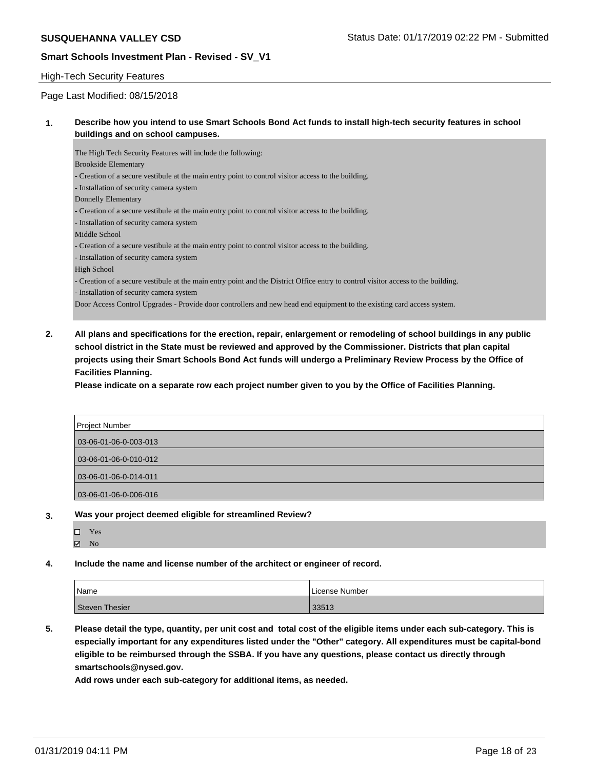# High-Tech Security Features

Page Last Modified: 08/15/2018

### **1. Describe how you intend to use Smart Schools Bond Act funds to install high-tech security features in school buildings and on school campuses.**

The High Tech Security Features will include the following: Brookside Elementary - Creation of a secure vestibule at the main entry point to control visitor access to the building. - Installation of security camera system Donnelly Elementary - Creation of a secure vestibule at the main entry point to control visitor access to the building. - Installation of security camera system Middle School - Creation of a secure vestibule at the main entry point to control visitor access to the building. - Installation of security camera system High School - Creation of a secure vestibule at the main entry point and the District Office entry to control visitor access to the building. - Installation of security camera system Door Access Control Upgrades - Provide door controllers and new head end equipment to the existing card access system.

**2. All plans and specifications for the erection, repair, enlargement or remodeling of school buildings in any public school district in the State must be reviewed and approved by the Commissioner. Districts that plan capital projects using their Smart Schools Bond Act funds will undergo a Preliminary Review Process by the Office of Facilities Planning.** 

**Please indicate on a separate row each project number given to you by the Office of Facilities Planning.**

| Project Number        |
|-----------------------|
| 03-06-01-06-0-003-013 |
| 03-06-01-06-0-010-012 |
| 03-06-01-06-0-014-011 |
| 03-06-01-06-0-006-016 |

**3. Was your project deemed eligible for streamlined Review?**

| ш | Y es |
|---|------|
|   |      |

**4. Include the name and license number of the architect or engineer of record.**

| Name           | License Number |
|----------------|----------------|
| Steven Thesier | 33513          |

**5. Please detail the type, quantity, per unit cost and total cost of the eligible items under each sub-category. This is especially important for any expenditures listed under the "Other" category. All expenditures must be capital-bond eligible to be reimbursed through the SSBA. If you have any questions, please contact us directly through smartschools@nysed.gov.**

**Add rows under each sub-category for additional items, as needed.**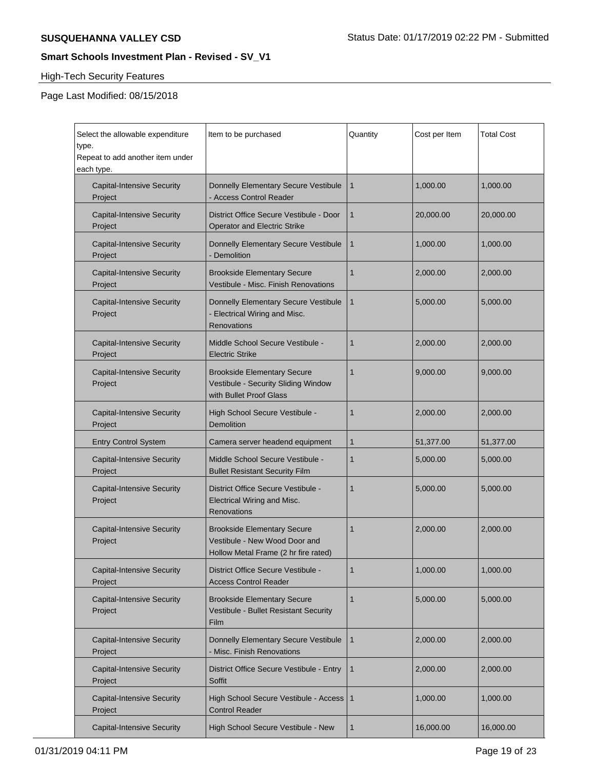# High-Tech Security Features

 $\blacksquare$ 

| Select the allowable expenditure<br>type.<br>Repeat to add another item under<br>each type. | Item to be purchased                                                                                        | Quantity     | Cost per Item | <b>Total Cost</b> |
|---------------------------------------------------------------------------------------------|-------------------------------------------------------------------------------------------------------------|--------------|---------------|-------------------|
| <b>Capital-Intensive Security</b><br>Project                                                | Donnelly Elementary Secure Vestibule<br>- Access Control Reader                                             | $\mathbf{1}$ | 1,000.00      | 1,000.00          |
| <b>Capital-Intensive Security</b><br>Project                                                | District Office Secure Vestibule - Door<br><b>Operator and Electric Strike</b>                              | $\mathbf{1}$ | 20,000.00     | 20,000.00         |
| <b>Capital-Intensive Security</b><br>Project                                                | Donnelly Elementary Secure Vestibule<br>- Demolition                                                        | 1            | 1,000.00      | 1,000.00          |
| <b>Capital-Intensive Security</b><br>Project                                                | <b>Brookside Elementary Secure</b><br>Vestibule - Misc. Finish Renovations                                  | 1            | 2,000.00      | 2,000.00          |
| <b>Capital-Intensive Security</b><br>Project                                                | Donnelly Elementary Secure Vestibule<br>- Electrical Wiring and Misc.<br>Renovations                        | $\mathbf{1}$ | 5,000.00      | 5,000.00          |
| <b>Capital-Intensive Security</b><br>Project                                                | Middle School Secure Vestibule -<br><b>Electric Strike</b>                                                  | 1            | 2,000.00      | 2,000.00          |
| <b>Capital-Intensive Security</b><br>Project                                                | <b>Brookside Elementary Secure</b><br>Vestibule - Security Sliding Window<br>with Bullet Proof Glass        | 1            | 9,000.00      | 9,000.00          |
| <b>Capital-Intensive Security</b><br>Project                                                | High School Secure Vestibule -<br><b>Demolition</b>                                                         | 1            | 2,000.00      | 2,000.00          |
| <b>Entry Control System</b>                                                                 | Camera server headend equipment                                                                             | $\mathbf{1}$ | 51,377.00     | 51,377.00         |
| <b>Capital-Intensive Security</b><br>Project                                                | Middle School Secure Vestibule -<br><b>Bullet Resistant Security Film</b>                                   | 1            | 5,000.00      | 5,000.00          |
| <b>Capital-Intensive Security</b><br>Project                                                | District Office Secure Vestibule -<br>Electrical Wiring and Misc.<br>Renovations                            | 1            | 5,000.00      | 5,000.00          |
| <b>Capital-Intensive Security</b><br>Project                                                | <b>Brookside Elementary Secure</b><br>Vestibule - New Wood Door and<br>Hollow Metal Frame (2 hr fire rated) | 1            | 2,000.00      | 2,000.00          |
| <b>Capital-Intensive Security</b><br>Project                                                | District Office Secure Vestibule -<br><b>Access Control Reader</b>                                          | 1            | 1,000.00      | 1,000.00          |
| <b>Capital-Intensive Security</b><br>Project                                                | <b>Brookside Elementary Secure</b><br>Vestibule - Bullet Resistant Security<br>Film                         | 1            | 5,000.00      | 5,000.00          |
| <b>Capital-Intensive Security</b><br>Project                                                | Donnelly Elementary Secure Vestibule<br>- Misc. Finish Renovations                                          | $\mathbf{1}$ | 2,000.00      | 2,000.00          |
| <b>Capital-Intensive Security</b><br>Project                                                | District Office Secure Vestibule - Entry<br>Soffit                                                          | $\mathbf{1}$ | 2,000.00      | 2,000.00          |
| <b>Capital-Intensive Security</b><br>Project                                                | High School Secure Vestibule - Access<br><b>Control Reader</b>                                              | $\mathbf{1}$ | 1,000.00      | 1,000.00          |
| <b>Capital-Intensive Security</b>                                                           | High School Secure Vestibule - New                                                                          | $\mathbf{1}$ | 16,000.00     | 16,000.00         |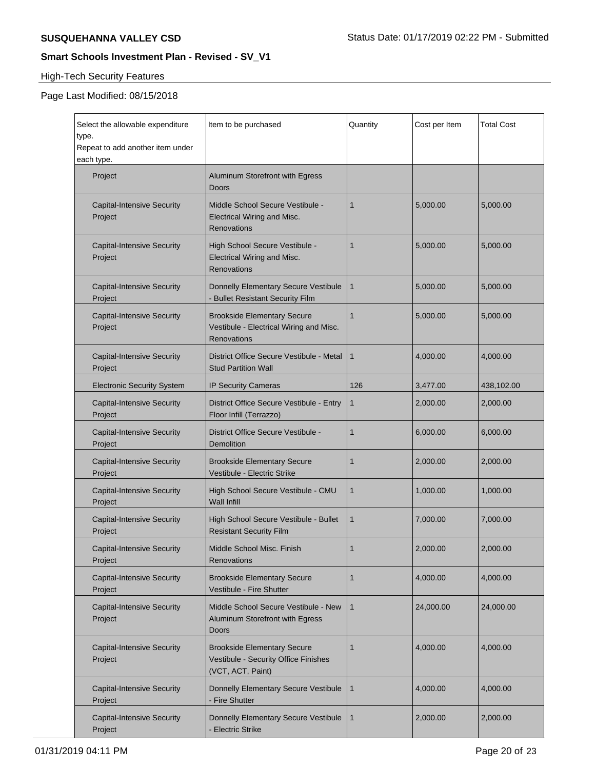# **High-Tech Security Features**

| Select the allowable expenditure<br>type.<br>Repeat to add another item under<br>each type. | Item to be purchased                                                                            | Quantity       | Cost per Item | <b>Total Cost</b> |
|---------------------------------------------------------------------------------------------|-------------------------------------------------------------------------------------------------|----------------|---------------|-------------------|
| Project                                                                                     | Aluminum Storefront with Egress<br>Doors                                                        |                |               |                   |
| <b>Capital-Intensive Security</b><br>Project                                                | Middle School Secure Vestibule -<br>Electrical Wiring and Misc.<br>Renovations                  | $\mathbf{1}$   | 5,000.00      | 5,000.00          |
| <b>Capital-Intensive Security</b><br>Project                                                | High School Secure Vestibule -<br>Electrical Wiring and Misc.<br>Renovations                    | 1              | 5,000.00      | 5,000.00          |
| <b>Capital-Intensive Security</b><br>Project                                                | Donnelly Elementary Secure Vestibule<br>- Bullet Resistant Security Film                        | 1              | 5,000.00      | 5,000.00          |
| <b>Capital-Intensive Security</b><br>Project                                                | <b>Brookside Elementary Secure</b><br>Vestibule - Electrical Wiring and Misc.<br>Renovations    | $\mathbf{1}$   | 5,000.00      | 5,000.00          |
| <b>Capital-Intensive Security</b><br>Project                                                | District Office Secure Vestibule - Metal<br><b>Stud Partition Wall</b>                          | $\mathbf{1}$   | 4,000.00      | 4.000.00          |
| <b>Electronic Security System</b>                                                           | IP Security Cameras                                                                             | 126            | 3,477.00      | 438,102.00        |
| <b>Capital-Intensive Security</b><br>Project                                                | District Office Secure Vestibule - Entry<br>Floor Infill (Terrazzo)                             | 1              | 2,000.00      | 2,000.00          |
| <b>Capital-Intensive Security</b><br>Project                                                | District Office Secure Vestibule -<br><b>Demolition</b>                                         | $\mathbf{1}$   | 6,000.00      | 6,000.00          |
| <b>Capital-Intensive Security</b><br>Project                                                | <b>Brookside Elementary Secure</b><br>Vestibule - Electric Strike                               | 1              | 2,000.00      | 2,000.00          |
| <b>Capital-Intensive Security</b><br>Project                                                | High School Secure Vestibule - CMU<br><b>Wall Infill</b>                                        | 1              | 1,000.00      | 1,000.00          |
| <b>Capital-Intensive Security</b><br>Project                                                | High School Secure Vestibule - Bullet<br><b>Resistant Security Film</b>                         | $\mathbf{1}$   | 7,000.00      | 7,000.00          |
| <b>Capital-Intensive Security</b><br>Project                                                | Middle School Misc. Finish<br>Renovations                                                       | $\overline{1}$ | 2,000.00      | 2,000.00          |
| <b>Capital-Intensive Security</b><br>Project                                                | <b>Brookside Elementary Secure</b><br>Vestibule - Fire Shutter                                  | $\mathbf{1}$   | 4,000.00      | 4,000.00          |
| <b>Capital-Intensive Security</b><br>Project                                                | Middle School Secure Vestibule - New<br>Aluminum Storefront with Egress<br>Doors                | $\mathbf{1}$   | 24,000.00     | 24,000.00         |
| <b>Capital-Intensive Security</b><br>Project                                                | <b>Brookside Elementary Secure</b><br>Vestibule - Security Office Finishes<br>(VCT, ACT, Paint) | $\mathbf{1}$   | 4,000.00      | 4,000.00          |
| <b>Capital-Intensive Security</b><br>Project                                                | Donnelly Elementary Secure Vestibule<br>- Fire Shutter                                          | $\mathbf{1}$   | 4,000.00      | 4,000.00          |
| <b>Capital-Intensive Security</b><br>Project                                                | Donnelly Elementary Secure Vestibule<br><b>Electric Strike</b>                                  | $\mathbf{1}$   | 2,000.00      | 2,000.00          |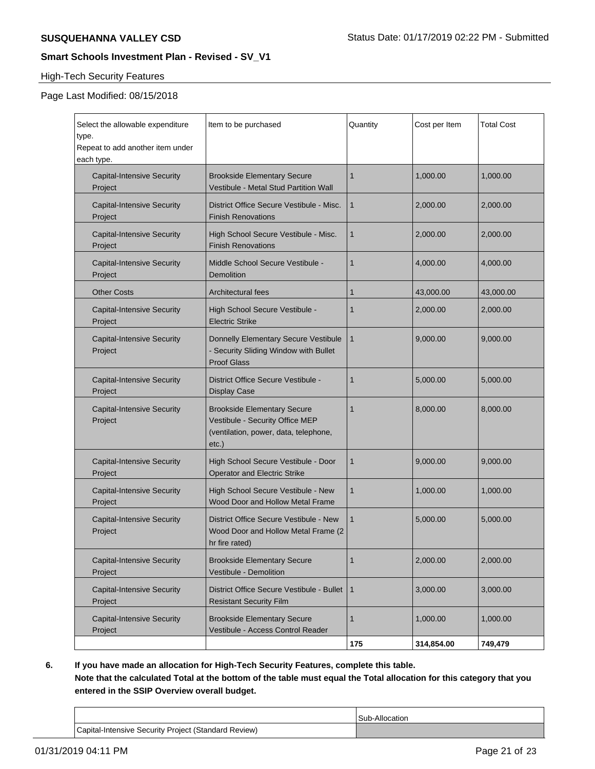# High-Tech Security Features

# Page Last Modified: 08/15/2018

| Select the allowable expenditure<br>type.<br>Repeat to add another item under<br>each type. | Item to be purchased                                                                                                       | Quantity     | Cost per Item | Total Cost |
|---------------------------------------------------------------------------------------------|----------------------------------------------------------------------------------------------------------------------------|--------------|---------------|------------|
| <b>Capital-Intensive Security</b><br>Project                                                | <b>Brookside Elementary Secure</b><br>Vestibule - Metal Stud Partition Wall                                                | 1            | 1.000.00      | 1,000.00   |
| <b>Capital-Intensive Security</b><br>Project                                                | District Office Secure Vestibule - Misc.<br><b>Finish Renovations</b>                                                      | 1            | 2,000.00      | 2,000.00   |
| <b>Capital-Intensive Security</b><br>Project                                                | High School Secure Vestibule - Misc.<br><b>Finish Renovations</b>                                                          | 1            | 2,000.00      | 2,000.00   |
| <b>Capital-Intensive Security</b><br>Project                                                | Middle School Secure Vestibule -<br>Demolition                                                                             | 1            | 4,000.00      | 4,000.00   |
| <b>Other Costs</b>                                                                          | <b>Architectural fees</b>                                                                                                  | 1            | 43,000.00     | 43,000.00  |
| <b>Capital-Intensive Security</b><br>Project                                                | High School Secure Vestibule -<br><b>Electric Strike</b>                                                                   | 1            | 2,000.00      | 2,000.00   |
| <b>Capital-Intensive Security</b><br>Project                                                | Donnelly Elementary Secure Vestibule<br>- Security Sliding Window with Bullet<br><b>Proof Glass</b>                        | $\mathbf{1}$ | 9.000.00      | 9,000.00   |
| <b>Capital-Intensive Security</b><br>Project                                                | District Office Secure Vestibule -<br><b>Display Case</b>                                                                  | 1            | 5,000.00      | 5,000.00   |
| <b>Capital-Intensive Security</b><br>Project                                                | <b>Brookside Elementary Secure</b><br>Vestibule - Security Office MEP<br>(ventilation, power, data, telephone,<br>$etc.$ ) | 1            | 8,000.00      | 8,000.00   |
| <b>Capital-Intensive Security</b><br>Project                                                | High School Secure Vestibule - Door<br><b>Operator and Electric Strike</b>                                                 | 1            | 9,000.00      | 9,000.00   |
| <b>Capital-Intensive Security</b><br>Project                                                | High School Secure Vestibule - New<br>Wood Door and Hollow Metal Frame                                                     | 1            | 1.000.00      | 1,000.00   |
| <b>Capital-Intensive Security</b><br>Project                                                | District Office Secure Vestibule - New<br>Wood Door and Hollow Metal Frame (2<br>hr fire rated)                            | $\mathbf{1}$ | 5,000.00      | 5,000.00   |
| <b>Capital-Intensive Security</b><br>Project                                                | <b>Brookside Elementary Secure</b><br>Vestibule - Demolition                                                               | 1            | 2,000.00      | 2,000.00   |
| <b>Capital-Intensive Security</b><br>Project                                                | District Office Secure Vestibule - Bullet<br><b>Resistant Security Film</b>                                                | 1            | 3,000.00      | 3,000.00   |
| <b>Capital-Intensive Security</b><br>Project                                                | <b>Brookside Elementary Secure</b><br>Vestibule - Access Control Reader                                                    | 1            | 1.000.00      | 1,000.00   |
|                                                                                             |                                                                                                                            | 175          | 314,854.00    | 749,479    |

**6. If you have made an allocation for High-Tech Security Features, complete this table. Note that the calculated Total at the bottom of the table must equal the Total allocation for this category that you entered in the SSIP Overview overall budget.**

|                                                      | Sub-Allocation |
|------------------------------------------------------|----------------|
| Capital-Intensive Security Project (Standard Review) |                |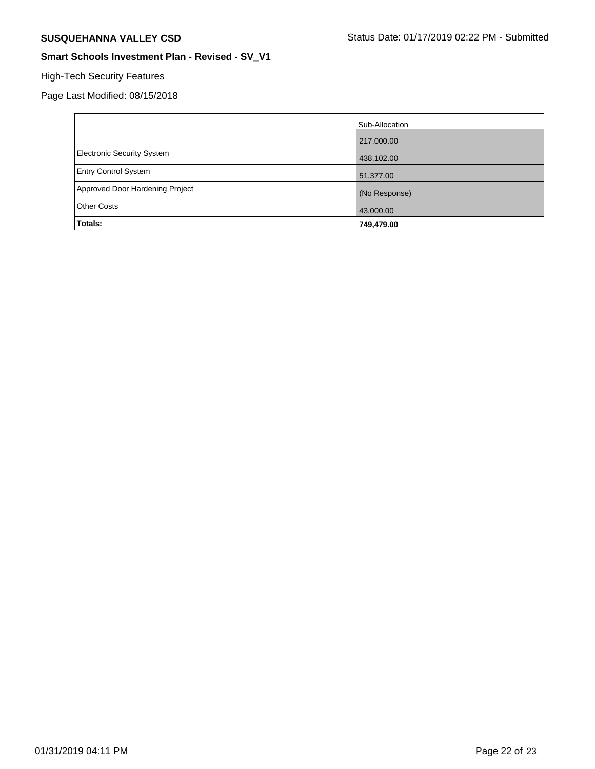# High-Tech Security Features

|                                 | Sub-Allocation |
|---------------------------------|----------------|
|                                 | 217,000.00     |
| Electronic Security System      | 438,102.00     |
| <b>Entry Control System</b>     | 51,377.00      |
| Approved Door Hardening Project | (No Response)  |
| <b>Other Costs</b>              | 43,000.00      |
| Totals:                         | 749,479.00     |